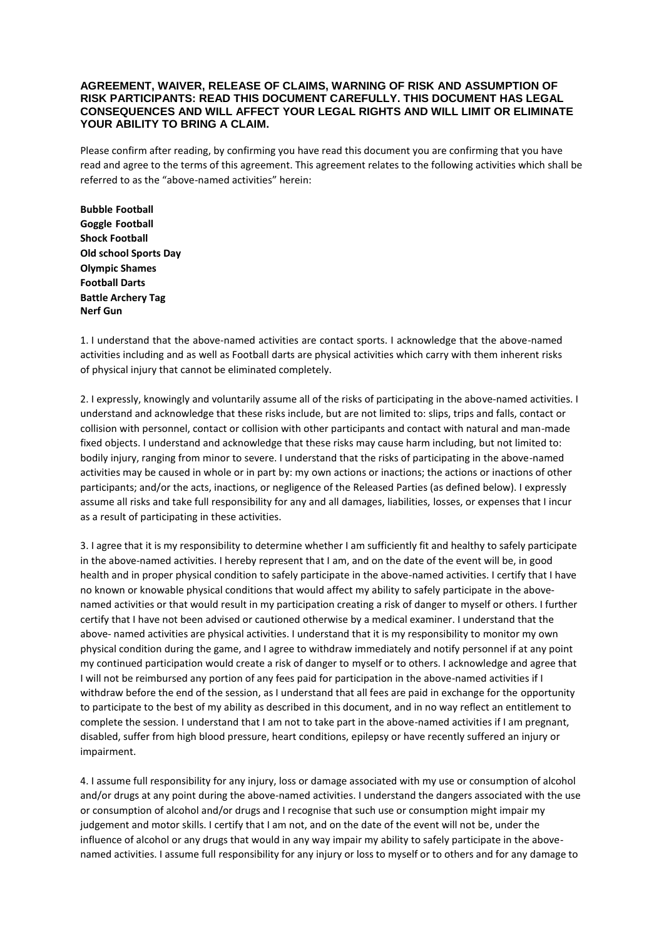## **AGREEMENT, WAIVER, RELEASE OF CLAIMS, WARNING OF RISK AND ASSUMPTION OF RISK PARTICIPANTS: READ THIS DOCUMENT CAREFULLY. THIS DOCUMENT HAS LEGAL CONSEQUENCES AND WILL AFFECT YOUR LEGAL RIGHTS AND WILL LIMIT OR ELIMINATE YOUR ABILITY TO BRING A CLAIM.**

Please confirm after reading, by confirming you have read this document you are confirming that you have read and agree to the terms of this agreement. This agreement relates to the following activities which shall be referred to as the "above-named activities" herein:

**Bubble Football Goggle Football Shock Football Old school Sports Day Olympic Shames Football Darts Battle Archery Tag Nerf Gun** 

1. I understand that the above-named activities are contact sports. I acknowledge that the above-named activities including and as well as Football darts are physical activities which carry with them inherent risks of physical injury that cannot be eliminated completely.

2. I expressly, knowingly and voluntarily assume all of the risks of participating in the above-named activities. I understand and acknowledge that these risks include, but are not limited to: slips, trips and falls, contact or collision with personnel, contact or collision with other participants and contact with natural and man-made fixed objects. I understand and acknowledge that these risks may cause harm including, but not limited to: bodily injury, ranging from minor to severe. I understand that the risks of participating in the above-named activities may be caused in whole or in part by: my own actions or inactions; the actions or inactions of other participants; and/or the acts, inactions, or negligence of the Released Parties (as defined below). I expressly assume all risks and take full responsibility for any and all damages, liabilities, losses, or expenses that I incur as a result of participating in these activities.

3. I agree that it is my responsibility to determine whether I am sufficiently fit and healthy to safely participate in the above-named activities. I hereby represent that I am, and on the date of the event will be, in good health and in proper physical condition to safely participate in the above-named activities. I certify that I have no known or knowable physical conditions that would affect my ability to safely participate in the abovenamed activities or that would result in my participation creating a risk of danger to myself or others. I further certify that I have not been advised or cautioned otherwise by a medical examiner. I understand that the above- named activities are physical activities. I understand that it is my responsibility to monitor my own physical condition during the game, and I agree to withdraw immediately and notify personnel if at any point my continued participation would create a risk of danger to myself or to others. I acknowledge and agree that I will not be reimbursed any portion of any fees paid for participation in the above-named activities if I withdraw before the end of the session, as I understand that all fees are paid in exchange for the opportunity to participate to the best of my ability as described in this document, and in no way reflect an entitlement to complete the session. I understand that I am not to take part in the above-named activities if I am pregnant, disabled, suffer from high blood pressure, heart conditions, epilepsy or have recently suffered an injury or impairment.

4. I assume full responsibility for any injury, loss or damage associated with my use or consumption of alcohol and/or drugs at any point during the above-named activities. I understand the dangers associated with the use or consumption of alcohol and/or drugs and I recognise that such use or consumption might impair my judgement and motor skills. I certify that I am not, and on the date of the event will not be, under the influence of alcohol or any drugs that would in any way impair my ability to safely participate in the abovenamed activities. I assume full responsibility for any injury or loss to myself or to others and for any damage to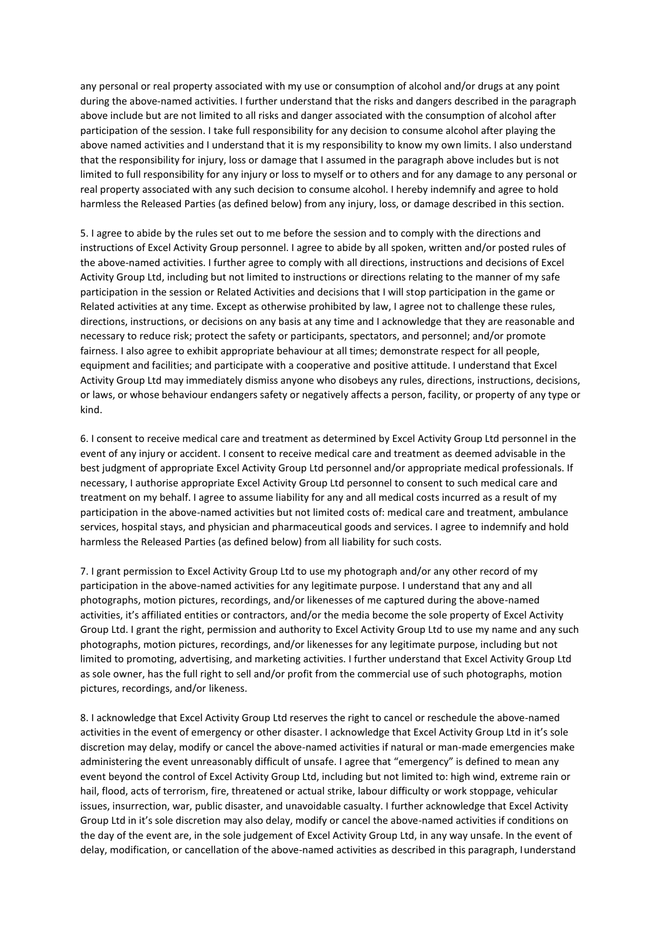any personal or real property associated with my use or consumption of alcohol and/or drugs at any point during the above-named activities. I further understand that the risks and dangers described in the paragraph above include but are not limited to all risks and danger associated with the consumption of alcohol after participation of the session. I take full responsibility for any decision to consume alcohol after playing the above named activities and I understand that it is my responsibility to know my own limits. I also understand that the responsibility for injury, loss or damage that I assumed in the paragraph above includes but is not limited to full responsibility for any injury or loss to myself or to others and for any damage to any personal or real property associated with any such decision to consume alcohol. I hereby indemnify and agree to hold harmless the Released Parties (as defined below) from any injury, loss, or damage described in this section.

5. I agree to abide by the rules set out to me before the session and to comply with the directions and instructions of Excel Activity Group personnel. I agree to abide by all spoken, written and/or posted rules of the above-named activities. I further agree to comply with all directions, instructions and decisions of Excel Activity Group Ltd, including but not limited to instructions or directions relating to the manner of my safe participation in the session or Related Activities and decisions that I will stop participation in the game or Related activities at any time. Except as otherwise prohibited by law, I agree not to challenge these rules, directions, instructions, or decisions on any basis at any time and I acknowledge that they are reasonable and necessary to reduce risk; protect the safety or participants, spectators, and personnel; and/or promote fairness. I also agree to exhibit appropriate behaviour at all times; demonstrate respect for all people, equipment and facilities; and participate with a cooperative and positive attitude. I understand that Excel Activity Group Ltd may immediately dismiss anyone who disobeys any rules, directions, instructions, decisions, or laws, or whose behaviour endangers safety or negatively affects a person, facility, or property of any type or kind.

6. I consent to receive medical care and treatment as determined by Excel Activity Group Ltd personnel in the event of any injury or accident. I consent to receive medical care and treatment as deemed advisable in the best judgment of appropriate Excel Activity Group Ltd personnel and/or appropriate medical professionals. If necessary, I authorise appropriate Excel Activity Group Ltd personnel to consent to such medical care and treatment on my behalf. I agree to assume liability for any and all medical costs incurred as a result of my participation in the above-named activities but not limited costs of: medical care and treatment, ambulance services, hospital stays, and physician and pharmaceutical goods and services. I agree to indemnify and hold harmless the Released Parties (as defined below) from all liability for such costs.

7. I grant permission to Excel Activity Group Ltd to use my photograph and/or any other record of my participation in the above-named activities for any legitimate purpose. I understand that any and all photographs, motion pictures, recordings, and/or likenesses of me captured during the above-named activities, it's affiliated entities or contractors, and/or the media become the sole property of Excel Activity Group Ltd. I grant the right, permission and authority to Excel Activity Group Ltd to use my name and any such photographs, motion pictures, recordings, and/or likenesses for any legitimate purpose, including but not limited to promoting, advertising, and marketing activities. I further understand that Excel Activity Group Ltd as sole owner, has the full right to sell and/or profit from the commercial use of such photographs, motion pictures, recordings, and/or likeness.

8. I acknowledge that Excel Activity Group Ltd reserves the right to cancel or reschedule the above-named activities in the event of emergency or other disaster. I acknowledge that Excel Activity Group Ltd in it's sole discretion may delay, modify or cancel the above-named activities if natural or man-made emergencies make administering the event unreasonably difficult of unsafe. I agree that "emergency" is defined to mean any event beyond the control of Excel Activity Group Ltd, including but not limited to: high wind, extreme rain or hail, flood, acts of terrorism, fire, threatened or actual strike, labour difficulty or work stoppage, vehicular issues, insurrection, war, public disaster, and unavoidable casualty. I further acknowledge that Excel Activity Group Ltd in it's sole discretion may also delay, modify or cancel the above-named activities if conditions on the day of the event are, in the sole judgement of Excel Activity Group Ltd, in any way unsafe. In the event of delay, modification, or cancellation of the above-named activities as described in this paragraph, Iunderstand